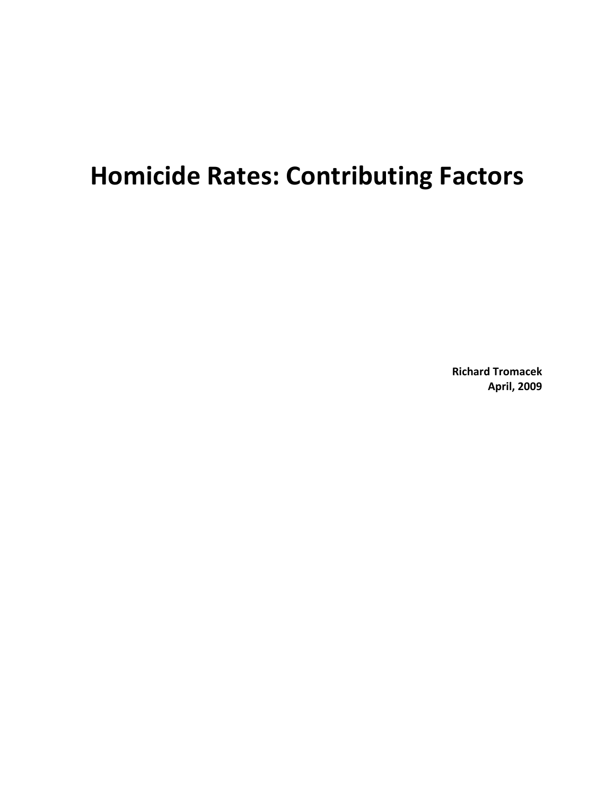# **Homicide Rates: Contributing Factors**

**Richard Tromacek April, 2009**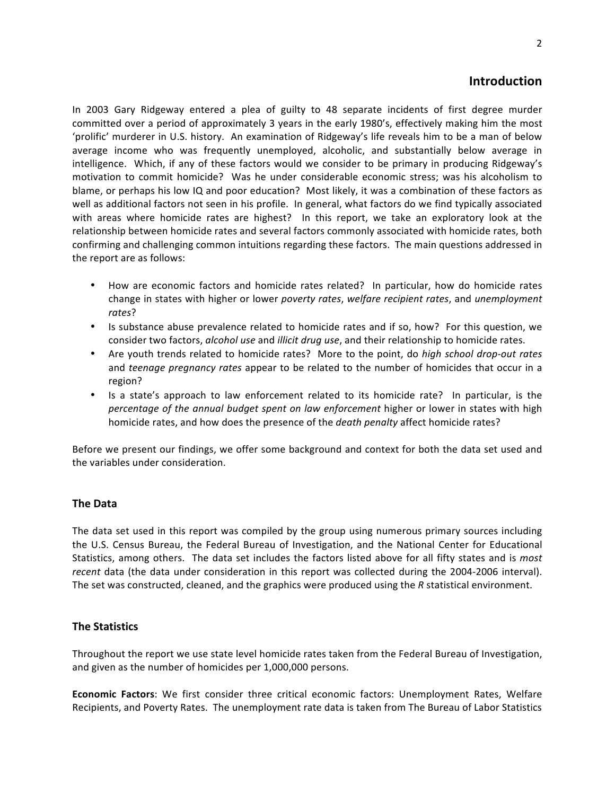# **Introduction**

In 2003 Gary Ridgeway entered a plea of guilty to 48 separate incidents of first degree murder committed over a period of approximately 3 years in the early 1980's, effectively making him the most 'prolific' murderer in U.S. history. An examination of Ridgeway's life reveals him to be a man of below average income who was frequently unemployed, alcoholic, and substantially below average in intelligence. Which, if any of these factors would we consider to be primary in producing Ridgeway's motivation to commit homicide? Was he under considerable economic stress; was his alcoholism to blame, or perhaps his low IQ and poor education? Most likely, it was a combination of these factors as well as additional factors not seen in his profile. In general, what factors do we find typically associated with areas where homicide rates are highest? In this report, we take an exploratory look at the relationship between homicide rates and several factors commonly associated with homicide rates, both confirming and challenging common intuitions regarding these factors. The main questions addressed in the report are as follows:

- How are economic factors and homicide rates related? In particular, how do homicide rates change in states with higher or lower *poverty rates*, *welfare recipient rates*, and *unemployment rates*?
- Is substance abuse prevalence related to homicide rates and if so, how? For this question, we consider two factors, *alcohol use* and *illicit drug use*, and their relationship to homicide rates.
- Are youth trends related to homicide rates? More to the point, do *high school drop-out rates* and *teenage pregnancy rates* appear to be related to the number of homicides that occur in a region?
- Is a state's approach to law enforcement related to its homicide rate? In particular, is the *percentage of the annual budget spent on law enforcement* higher or lower in states with high homicide rates, and how does the presence of the *death penalty* affect homicide rates?

Before we present our findings, we offer some background and context for both the data set used and the variables under consideration.

# **The Data**

The data set used in this report was compiled by the group using numerous primary sources including the U.S. Census Bureau, the Federal Bureau of Investigation, and the National Center for Educational Statistics, among others. The data set includes the factors listed above for all fifty states and is *most recent* data (the data under consideration in this report was collected during the 2004-2006 interval). The set was constructed, cleaned, and the graphics were produced using the *R* statistical environment.

# **The Statistics**

Throughout the report we use state level homicide rates taken from the Federal Bureau of Investigation, and given as the number of homicides per 1,000,000 persons.

**Economic Factors**: We first consider three critical economic factors: Unemployment Rates, Welfare Recipients, and Poverty Rates. The unemployment rate data is taken from The Bureau of Labor Statistics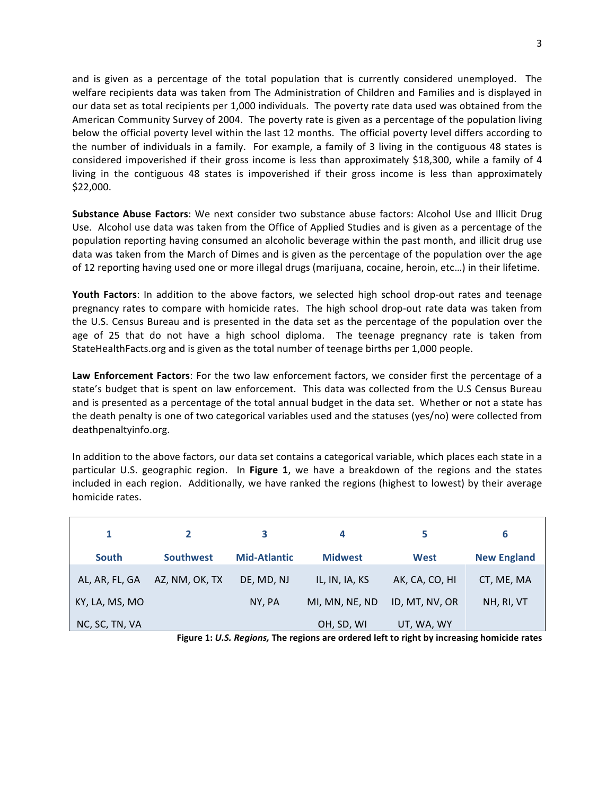and is given as a percentage of the total population that is currently considered unemployed. The welfare recipients data was taken from The Administration of Children and Families and is displayed in our data set as total recipients per 1,000 individuals. The poverty rate data used was obtained from the American Community Survey of 2004. The poverty rate is given as a percentage of the population living below the official poverty level within the last 12 months. The official poverty level differs according to the number of individuals in a family. For example, a family of 3 living in the contiguous 48 states is considered impoverished if their gross income is less than approximately \$18,300, while a family of 4 living in the contiguous 48 states is impoverished if their gross income is less than approximately \$22,000. 

**Substance Abuse Factors:** We next consider two substance abuse factors: Alcohol Use and Illicit Drug Use. Alcohol use data was taken from the Office of Applied Studies and is given as a percentage of the population reporting having consumed an alcoholic beverage within the past month, and illicit drug use data was taken from the March of Dimes and is given as the percentage of the population over the age of 12 reporting having used one or more illegal drugs (marijuana, cocaine, heroin, etc...) in their lifetime.

**Youth Factors**: In addition to the above factors, we selected high school drop-out rates and teenage pregnancy rates to compare with homicide rates. The high school drop-out rate data was taken from the U.S. Census Bureau and is presented in the data set as the percentage of the population over the age of 25 that do not have a high school diploma. The teenage pregnancy rate is taken from StateHealthFacts.org and is given as the total number of teenage births per 1,000 people.

**Law Enforcement Factors**: For the two law enforcement factors, we consider first the percentage of a state's budget that is spent on law enforcement. This data was collected from the U.S Census Bureau and is presented as a percentage of the total annual budget in the data set. Whether or not a state has the death penalty is one of two categorical variables used and the statuses (yes/no) were collected from deathpenaltyinfo.org.

In addition to the above factors, our data set contains a categorical variable, which places each state in a particular U.S. geographic region. In Figure 1, we have a breakdown of the regions and the states included in each region. Additionally, we have ranked the regions (highest to lowest) by their average homicide rates.

| 1              | $\mathbf{2}$     | з                   | 4              | 5              | 6                  |
|----------------|------------------|---------------------|----------------|----------------|--------------------|
| <b>South</b>   | <b>Southwest</b> | <b>Mid-Atlantic</b> | <b>Midwest</b> | West           | <b>New England</b> |
| AL, AR, FL, GA | AZ, NM, OK, TX   | DE, MD, NJ          | IL, IN, IA, KS | AK, CA, CO, HI | CT, ME, MA         |
| KY, LA, MS, MO |                  | NY, PA              | MI, MN, NE, ND | ID, MT, NV, OR | NH, RI, VT         |
| NC, SC, TN, VA |                  |                     | OH, SD, WI     | UT, WA, WY     |                    |

Figure 1: U.S. Regions, The regions are ordered left to right by increasing homicide rates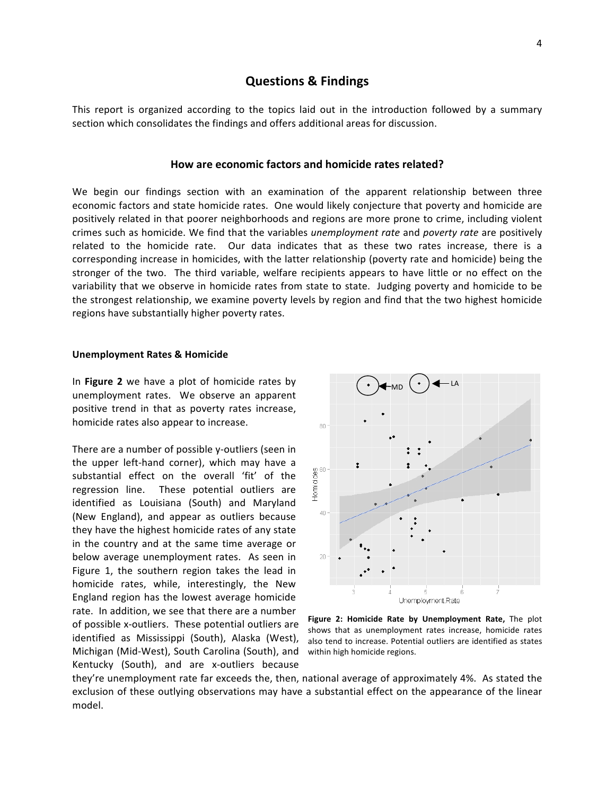# **Questions & Findings**

This report is organized according to the topics laid out in the introduction followed by a summary section which consolidates the findings and offers additional areas for discussion.

## **How are economic factors and homicide rates related?**

We begin our findings section with an examination of the apparent relationship between three economic factors and state homicide rates. One would likely conjecture that poverty and homicide are positively related in that poorer neighborhoods and regions are more prone to crime, including violent crimes such as homicide. We find that the variables *unemployment rate* and *poverty rate* are positively related to the homicide rate. Our data indicates that as these two rates increase, there is a corresponding increase in homicides, with the latter relationship (poverty rate and homicide) being the stronger of the two. The third variable, welfare recipients appears to have little or no effect on the variability that we observe in homicide rates from state to state. Judging poverty and homicide to be the strongest relationship, we examine poverty levels by region and find that the two highest homicide regions have substantially higher poverty rates.

#### **Unemployment Rates & Homicide**

In **Figure 2** we have a plot of homicide rates by unemployment rates. We observe an apparent positive trend in that as poverty rates increase, homicide rates also appear to increase.

There are a number of possible y-outliers (seen in the upper left-hand corner), which may have a substantial effect on the overall 'fit' of the regression line. These potential outliers are identified as Louisiana (South) and Maryland (New England), and appear as outliers because they have the highest homicide rates of any state in the country and at the same time average or below average unemployment rates. As seen in Figure 1, the southern region takes the lead in homicide rates, while, interestingly, the New England region has the lowest average homicide rate. In addition, we see that there are a number of possible x-outliers. These potential outliers are identified as Mississippi (South), Alaska (West), Michigan (Mid-West), South Carolina (South), and Kentucky (South), and are x-outliers because



Figure 2: Homicide Rate by Unemployment Rate, The plot shows that as unemployment rates increase, homicide rates also tend to increase. Potential outliers are identified as states within high homicide regions.

they're unemployment rate far exceeds the, then, national average of approximately 4%. As stated the exclusion of these outlying observations may have a substantial effect on the appearance of the linear model.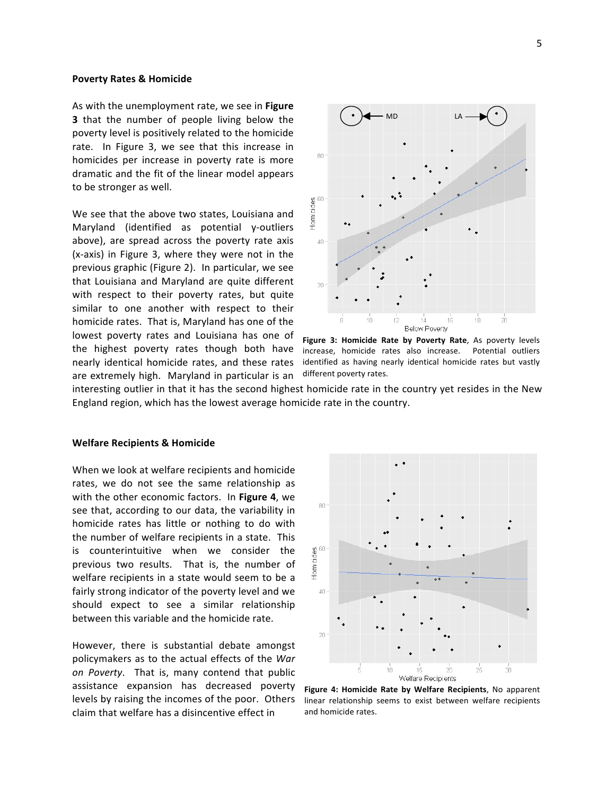#### **Poverty Rates & Homicide**

As with the unemployment rate, we see in Figure **3** that the number of people living below the poverty level is positively related to the homicide rate. In Figure 3, we see that this increase in homicides per increase in poverty rate is more dramatic and the fit of the linear model appears to be stronger as well.

We see that the above two states, Louisiana and Maryland (identified as potential y-outliers above), are spread across the poverty rate axis  $(x-axis)$  in Figure 3, where they were not in the previous graphic (Figure 2). In particular, we see that Louisiana and Maryland are quite different with respect to their poverty rates, but quite similar to one another with respect to their homicide rates. That is, Maryland has one of the lowest poverty rates and Louisiana has one of the highest poverty rates though both have nearly identical homicide rates, and these rates are extremely high. Maryland in particular is an



Figure 3: Homicide Rate by Poverty Rate, As poverty levels increase, homicide rates also increase. Potential outliers identified as having nearly identical homicide rates but vastly different poverty rates.

interesting outlier in that it has the second highest homicide rate in the country yet resides in the New England region, which has the lowest average homicide rate in the country.

#### **Welfare Recipients & Homicide**

When we look at welfare recipients and homicide rates, we do not see the same relationship as with the other economic factors. In Figure 4, we see that, according to our data, the variability in homicide rates has little or nothing to do with the number of welfare recipients in a state. This is counterintuitive when we consider the previous two results. That is, the number of welfare recipients in a state would seem to be a fairly strong indicator of the poverty level and we should expect to see a similar relationship between this variable and the homicide rate.

However, there is substantial debate amongst policymakers as to the actual effects of the *War* on Poverty. That is, many contend that public assistance expansion has decreased poverty levels by raising the incomes of the poor. Others claim that welfare has a disincentive effect in



Figure 4: Homicide Rate by Welfare Recipients, No apparent linear relationship seems to exist between welfare recipients and homicide rates.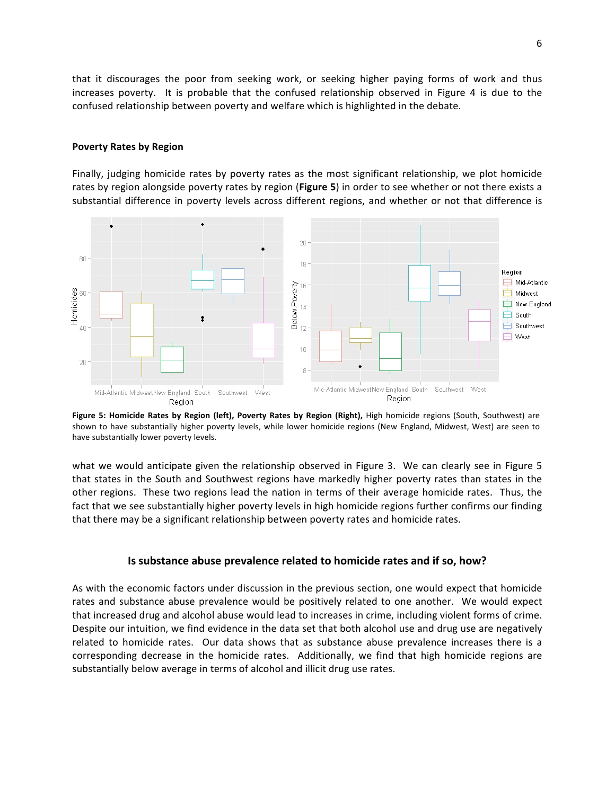that it discourages the poor from seeking work, or seeking higher paying forms of work and thus increases poverty. It is probable that the confused relationship observed in Figure 4 is due to the confused relationship between poverty and welfare which is highlighted in the debate.

## **Poverty Rates by Region**

Finally, judging homicide rates by poverty rates as the most significant relationship, we plot homicide rates by region alongside poverty rates by region (Figure 5) in order to see whether or not there exists a substantial difference in poverty levels across different regions, and whether or not that difference is



Figure 5: Homicide Rates by Region (left), Poverty Rates by Region (Right), High homicide regions (South, Southwest) are shown to have substantially higher poverty levels, while lower homicide regions (New England, Midwest, West) are seen to have substantially lower poverty levels.

what we would anticipate given the relationship observed in Figure 3. We can clearly see in Figure 5 that states in the South and Southwest regions have markedly higher poverty rates than states in the other regions. These two regions lead the nation in terms of their average homicide rates. Thus, the fact that we see substantially higher poverty levels in high homicide regions further confirms our finding that there may be a significant relationship between poverty rates and homicide rates.

## **Is substance abuse prevalence related to homicide rates and if so, how?**

As with the economic factors under discussion in the previous section, one would expect that homicide rates and substance abuse prevalence would be positively related to one another. We would expect that increased drug and alcohol abuse would lead to increases in crime, including violent forms of crime. Despite our intuition, we find evidence in the data set that both alcohol use and drug use are negatively related to homicide rates. Our data shows that as substance abuse prevalence increases there is a corresponding decrease in the homicide rates. Additionally, we find that high homicide regions are substantially below average in terms of alcohol and illicit drug use rates.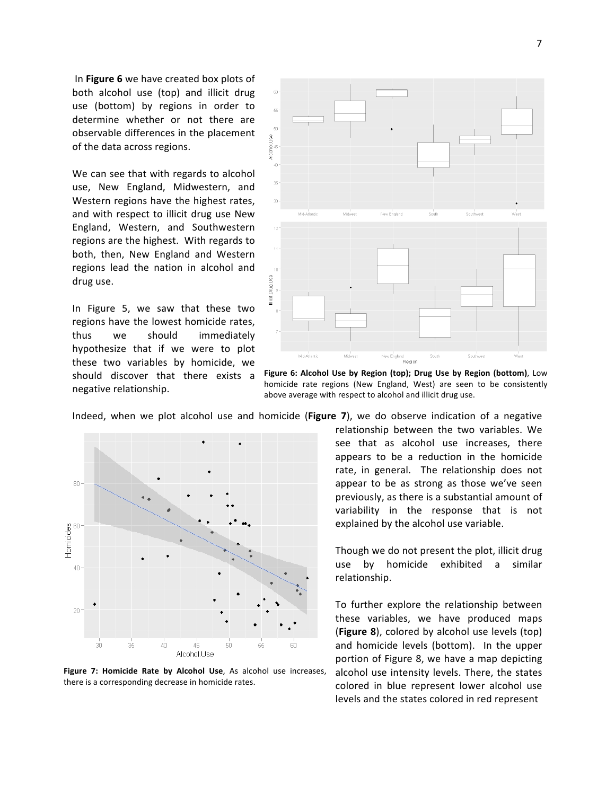In **Figure 6** we have created box plots of both alcohol use (top) and illicit drug use (bottom) by regions in order to determine whether or not there are observable differences in the placement of the data across regions.

We can see that with regards to alcohol use, New England, Midwestern, and Western regions have the highest rates, and with respect to illicit drug use New England, Western, and Southwestern regions are the highest. With regards to both, then, New England and Western regions lead the nation in alcohol and drug use.

In Figure 5, we saw that these two regions have the lowest homicide rates, thus we should immediately hypothesize that if we were to plot these two variables by homicide, we should discover that there exists a negative relationship.



**Figure 6: Alcohol Use by Region (top); Drug Use by Region (bottom)**, Low homicide rate regions (New England, West) are seen to be consistently above average with respect to alcohol and illicit drug use.

Indeed, when we plot alcohol use and homicide (**Figure 7**), we do observe indication of a negative



**Figure 7: Homicide Rate by Alcohol Use**, As alcohol use increases, there is a corresponding decrease in homicide rates.

relationship between the two variables. We see that as alcohol use increases, there appears to be a reduction in the homicide rate, in general. The relationship does not appear to be as strong as those we've seen previously, as there is a substantial amount of variability in the response that is not explained by the alcohol use variable.

Though we do not present the plot, illicit drug use by homicide exhibited a similar relationship. 

To further explore the relationship between these variables, we have produced maps **(Figure 8)**, colored by alcohol use levels (top) and homicide levels (bottom). In the upper portion of Figure 8, we have a map depicting alcohol use intensity levels. There, the states colored in blue represent lower alcohol use levels and the states colored in red represent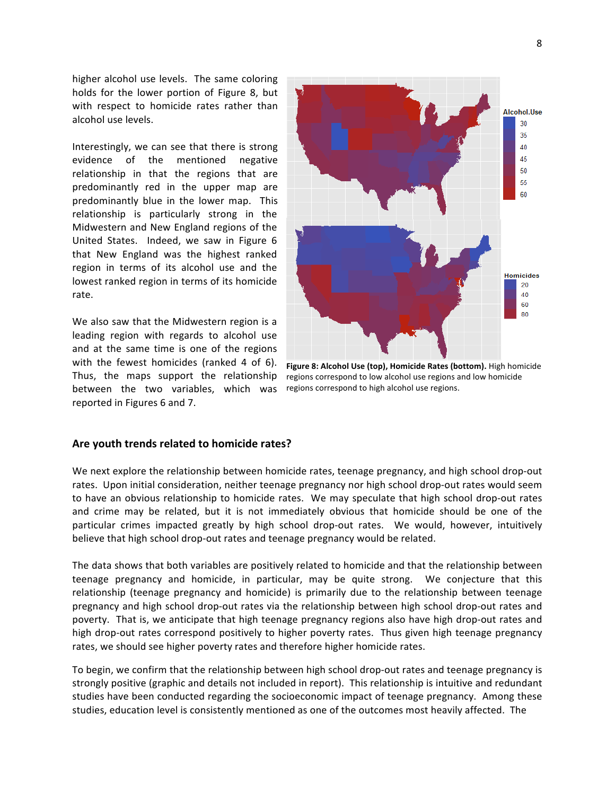higher alcohol use levels. The same coloring holds for the lower portion of Figure 8, but with respect to homicide rates rather than alcohol use levels.

Interestingly, we can see that there is strong evidence of the mentioned negative relationship in that the regions that are predominantly red in the upper map are predominantly blue in the lower map. This relationship is particularly strong in the Midwestern and New England regions of the United States. Indeed, we saw in Figure 6 that New England was the highest ranked region in terms of its alcohol use and the lowest ranked region in terms of its homicide rate. 

We also saw that the Midwestern region is a leading region with regards to alcohol use and at the same time is one of the regions with the fewest homicides (ranked 4 of 6). Thus, the maps support the relationship between the two variables, which was reported in Figures 6 and 7.



**Figure 8: Alcohol Use (top), Homicide Rates (bottom).** High homicide regions correspond to low alcohol use regions and low homicide regions correspond to high alcohol use regions.

## Are youth trends related to homicide rates?

We next explore the relationship between homicide rates, teenage pregnancy, and high school drop-out rates. Upon initial consideration, neither teenage pregnancy nor high school drop-out rates would seem to have an obvious relationship to homicide rates. We may speculate that high school drop-out rates and crime may be related, but it is not immediately obvious that homicide should be one of the particular crimes impacted greatly by high school drop-out rates. We would, however, intuitively believe that high school drop-out rates and teenage pregnancy would be related.

The data shows that both variables are positively related to homicide and that the relationship between teenage pregnancy and homicide, in particular, may be quite strong. We conjecture that this relationship (teenage pregnancy and homicide) is primarily due to the relationship between teenage pregnancy and high school drop-out rates via the relationship between high school drop-out rates and poverty. That is, we anticipate that high teenage pregnancy regions also have high drop-out rates and high drop-out rates correspond positively to higher poverty rates. Thus given high teenage pregnancy rates, we should see higher poverty rates and therefore higher homicide rates.

To begin, we confirm that the relationship between high school drop-out rates and teenage pregnancy is strongly positive (graphic and details not included in report). This relationship is intuitive and redundant studies have been conducted regarding the socioeconomic impact of teenage pregnancy. Among these studies, education level is consistently mentioned as one of the outcomes most heavily affected. The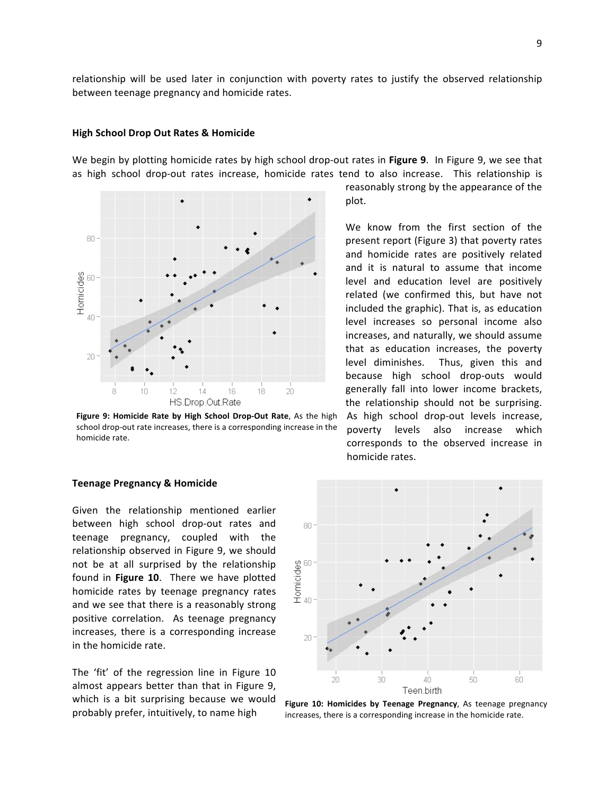relationship will be used later in conjunction with poverty rates to justify the observed relationship between teenage pregnancy and homicide rates.

## **High School Drop Out Rates & Homicide**

We begin by plotting homicide rates by high school drop-out rates in Figure 9. In Figure 9, we see that as high school drop-out rates increase, homicide rates tend to also increase. This relationship is



**Figure 9: Homicide Rate by High School Drop-Out Rate**, As the high school drop-out rate increases, there is a corresponding increase in the homicide rate.

reasonably strong by the appearance of the plot.

We know from the first section of the present report (Figure 3) that poverty rates and homicide rates are positively related and it is natural to assume that income level and education level are positively related (we confirmed this, but have not included the graphic). That is, as education level increases so personal income also increases, and naturally, we should assume that as education increases, the poverty level diminishes. Thus, given this and because high school drop-outs would generally fall into lower income brackets, the relationship should not be surprising. As high school drop-out levels increase, poverty levels also increase which corresponds to the observed increase in homicide rates.

#### **Teenage Pregnancy & Homicide**

Given the relationship mentioned earlier between high school drop-out rates and teenage pregnancy, coupled with the relationship observed in Figure 9, we should not be at all surprised by the relationship found in Figure 10. There we have plotted homicide rates by teenage pregnancy rates and we see that there is a reasonably strong positive correlation. As teenage pregnancy increases, there is a corresponding increase in the homicide rate.

The 'fit' of the regression line in Figure 10 almost appears better than that in Figure 9, which is a bit surprising because we would probably prefer, intuitively, to name high



Figure 10: Homicides by Teenage Pregnancy, As teenage pregnancy increases, there is a corresponding increase in the homicide rate.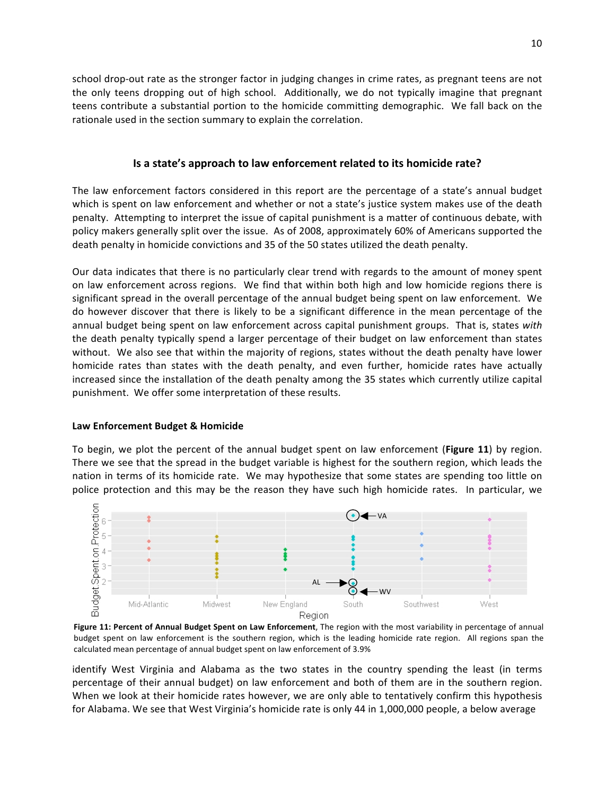school drop-out rate as the stronger factor in judging changes in crime rates, as pregnant teens are not the only teens dropping out of high school. Additionally, we do not typically imagine that pregnant teens contribute a substantial portion to the homicide committing demographic. We fall back on the rationale used in the section summary to explain the correlation.

# **Is a state's approach to law enforcement related to its homicide rate?**

The law enforcement factors considered in this report are the percentage of a state's annual budget which is spent on law enforcement and whether or not a state's justice system makes use of the death penalty. Attempting to interpret the issue of capital punishment is a matter of continuous debate, with policy makers generally split over the issue. As of 2008, approximately 60% of Americans supported the death penalty in homicide convictions and 35 of the 50 states utilized the death penalty.

Our data indicates that there is no particularly clear trend with regards to the amount of money spent on law enforcement across regions. We find that within both high and low homicide regions there is significant spread in the overall percentage of the annual budget being spent on law enforcement. We do however discover that there is likely to be a significant difference in the mean percentage of the annual budget being spent on law enforcement across capital punishment groups. That is, states with the death penalty typically spend a larger percentage of their budget on law enforcement than states without. We also see that within the majority of regions, states without the death penalty have lower homicide rates than states with the death penalty, and even further, homicide rates have actually increased since the installation of the death penalty among the 35 states which currently utilize capital punishment. We offer some interpretation of these results.

# Law Enforcement Budget & Homicide

To begin, we plot the percent of the annual budget spent on law enforcement (**Figure 11**) by region. There we see that the spread in the budget variable is highest for the southern region, which leads the nation in terms of its homicide rate. We may hypothesize that some states are spending too little on police protection and this may be the reason they have such high homicide rates. In particular, we



Figure 11: Percent of Annual Budget Spent on Law Enforcement, The region with the most variability in percentage of annual budget spent on law enforcement is the southern region, which is the leading homicide rate region. All regions span the calculated mean percentage of annual budget spent on law enforcement of 3.9%

identify West Virginia and Alabama as the two states in the country spending the least (in terms percentage of their annual budget) on law enforcement and both of them are in the southern region. When we look at their homicide rates however, we are only able to tentatively confirm this hypothesis for Alabama. We see that West Virginia's homicide rate is only 44 in 1,000,000 people, a below average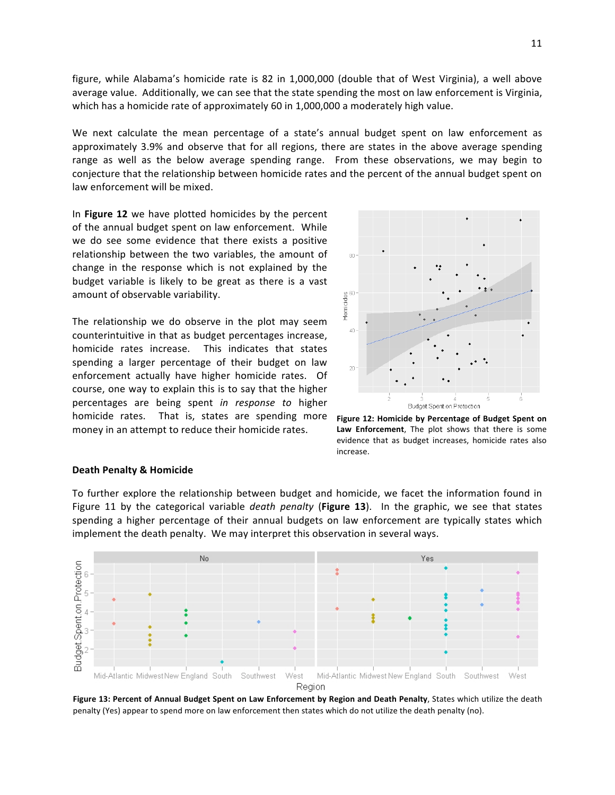figure, while Alabama's homicide rate is 82 in 1,000,000 (double that of West Virginia), a well above average value. Additionally, we can see that the state spending the most on law enforcement is Virginia, which has a homicide rate of approximately 60 in 1,000,000 a moderately high value.

We next calculate the mean percentage of a state's annual budget spent on law enforcement as approximately 3.9% and observe that for all regions, there are states in the above average spending range as well as the below average spending range. From these observations, we may begin to conjecture that the relationship between homicide rates and the percent of the annual budget spent on law enforcement will be mixed.

In Figure 12 we have plotted homicides by the percent of the annual budget spent on law enforcement. While we do see some evidence that there exists a positive relationship between the two variables, the amount of change in the response which is not explained by the budget variable is likely to be great as there is a vast amount of observable variability.

The relationship we do observe in the plot may seem counterintuitive in that as budget percentages increase, homicide rates increase. This indicates that states spending a larger percentage of their budget on law enforcement actually have higher homicide rates. Of course, one way to explain this is to say that the higher percentages are being spent *in response to* higher homicide rates. That is, states are spending more money in an attempt to reduce their homicide rates.



Figure 12: Homicide by Percentage of Budget Spent on Law Enforcement, The plot shows that there is some evidence that as budget increases, homicide rates also increase.

#### **Death Penalty & Homicide**

To further explore the relationship between budget and homicide, we facet the information found in Figure 11 by the categorical variable *death penalty* (Figure 13). In the graphic, we see that states spending a higher percentage of their annual budgets on law enforcement are typically states which implement the death penalty. We may interpret this observation in several ways.



Figure 13: Percent of Annual Budget Spent on Law Enforcement by Region and Death Penalty, States which utilize the death penalty (Yes) appear to spend more on law enforcement then states which do not utilize the death penalty (no).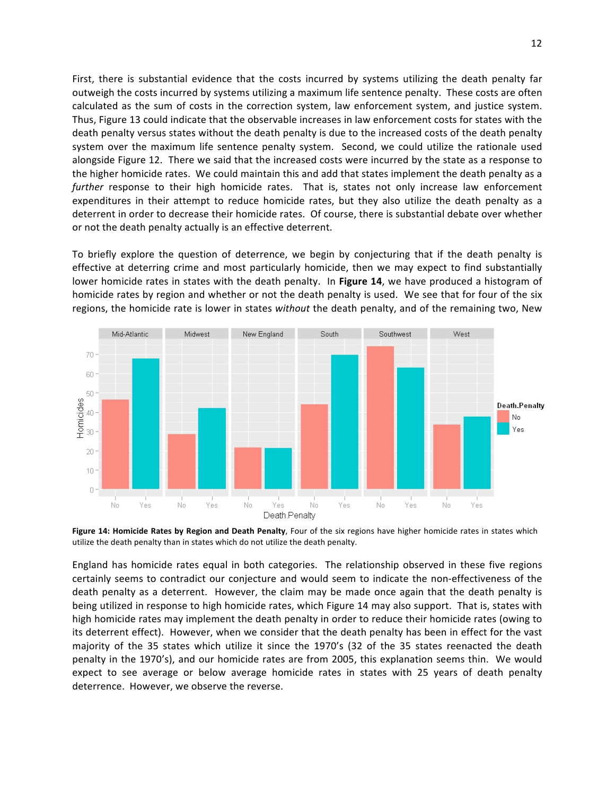First, there is substantial evidence that the costs incurred by systems utilizing the death penalty far outweigh the costs incurred by systems utilizing a maximum life sentence penalty. These costs are often calculated as the sum of costs in the correction system, law enforcement system, and justice system. Thus, Figure 13 could indicate that the observable increases in law enforcement costs for states with the death penalty versus states without the death penalty is due to the increased costs of the death penalty system over the maximum life sentence penalty system. Second, we could utilize the rationale used alongside Figure 12. There we said that the increased costs were incurred by the state as a response to the higher homicide rates. We could maintain this and add that states implement the death penalty as a *further* response to their high homicide rates. That is, states not only increase law enforcement expenditures in their attempt to reduce homicide rates, but they also utilize the death penalty as a deterrent in order to decrease their homicide rates. Of course, there is substantial debate over whether or not the death penalty actually is an effective deterrent.

To briefly explore the question of deterrence, we begin by conjecturing that if the death penalty is effective at deterring crime and most particularly homicide, then we may expect to find substantially lower homicide rates in states with the death penalty. In Figure 14, we have produced a histogram of homicide rates by region and whether or not the death penalty is used. We see that for four of the six regions, the homicide rate is lower in states without the death penalty, and of the remaining two, New



Figure 14: Homicide Rates by Region and Death Penalty, Four of the six regions have higher homicide rates in states which utilize the death penalty than in states which do not utilize the death penalty.

England has homicide rates equal in both categories. The relationship observed in these five regions certainly seems to contradict our conjecture and would seem to indicate the non-effectiveness of the death penalty as a deterrent. However, the claim may be made once again that the death penalty is being utilized in response to high homicide rates, which Figure 14 may also support. That is, states with high homicide rates may implement the death penalty in order to reduce their homicide rates (owing to its deterrent effect). However, when we consider that the death penalty has been in effect for the vast majority of the 35 states which utilize it since the 1970's (32 of the 35 states reenacted the death penalty in the 1970's), and our homicide rates are from 2005, this explanation seems thin. We would expect to see average or below average homicide rates in states with 25 years of death penalty deterrence. However, we observe the reverse.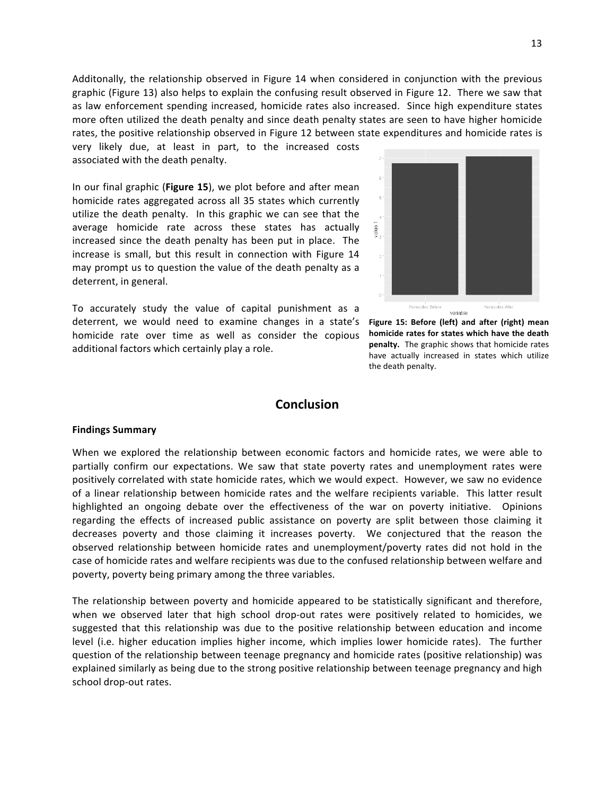Additonally, the relationship observed in Figure 14 when considered in conjunction with the previous graphic (Figure 13) also helps to explain the confusing result observed in Figure 12. There we saw that as law enforcement spending increased, homicide rates also increased. Since high expenditure states more often utilized the death penalty and since death penalty states are seen to have higher homicide rates, the positive relationship observed in Figure 12 between state expenditures and homicide rates is very likely due, at least in part, to the increased costs

associated with the death penalty.

In our final graphic (Figure 15), we plot before and after mean homicide rates aggregated across all 35 states which currently utilize the death penalty. In this graphic we can see that the average homicide rate across these states has actually increased since the death penalty has been put in place. The increase is small, but this result in connection with Figure 14 may prompt us to question the value of the death penalty as a deterrent, in general.

To accurately study the value of capital punishment as a deterrent, we would need to examine changes in a state's homicide rate over time as well as consider the copious additional factors which certainly play a role.



Figure 15: Before (left) and after (right) mean homicide rates for states which have the death **penalty.** The graphic shows that homicide rates have actually increased in states which utilize the death penalty.

# **Conclusion**

## **Findings Summary**

When we explored the relationship between economic factors and homicide rates, we were able to partially confirm our expectations. We saw that state poverty rates and unemployment rates were positively correlated with state homicide rates, which we would expect. However, we saw no evidence of a linear relationship between homicide rates and the welfare recipients variable. This latter result highlighted an ongoing debate over the effectiveness of the war on poverty initiative. Opinions regarding the effects of increased public assistance on poverty are split between those claiming it decreases poverty and those claiming it increases poverty. We conjectured that the reason the observed relationship between homicide rates and unemployment/poverty rates did not hold in the case of homicide rates and welfare recipients was due to the confused relationship between welfare and poverty, poverty being primary among the three variables.

The relationship between poverty and homicide appeared to be statistically significant and therefore, when we observed later that high school drop-out rates were positively related to homicides, we suggested that this relationship was due to the positive relationship between education and income level (i.e. higher education implies higher income, which implies lower homicide rates). The further question of the relationship between teenage pregnancy and homicide rates (positive relationship) was explained similarly as being due to the strong positive relationship between teenage pregnancy and high school drop-out rates.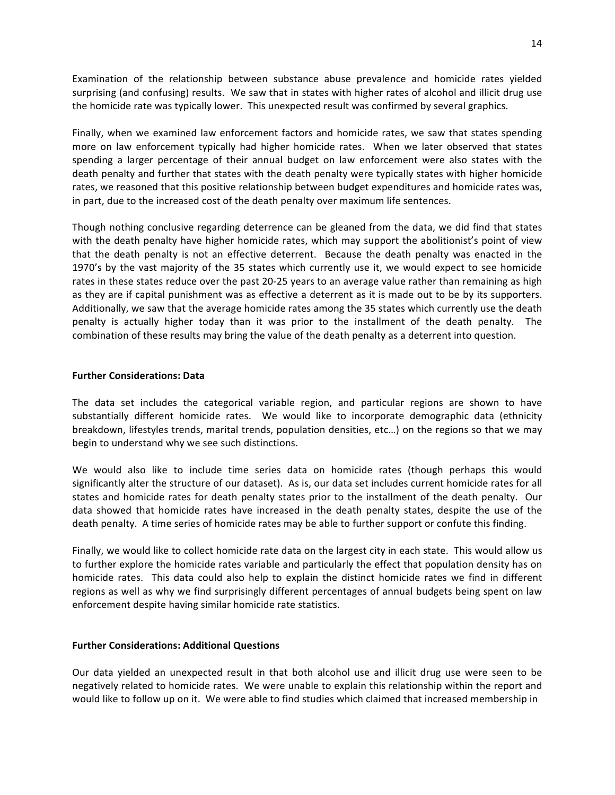Examination of the relationship between substance abuse prevalence and homicide rates yielded surprising (and confusing) results. We saw that in states with higher rates of alcohol and illicit drug use the homicide rate was typically lower. This unexpected result was confirmed by several graphics.

Finally, when we examined law enforcement factors and homicide rates, we saw that states spending more on law enforcement typically had higher homicide rates. When we later observed that states spending a larger percentage of their annual budget on law enforcement were also states with the death penalty and further that states with the death penalty were typically states with higher homicide rates, we reasoned that this positive relationship between budget expenditures and homicide rates was, in part, due to the increased cost of the death penalty over maximum life sentences.

Though nothing conclusive regarding deterrence can be gleaned from the data, we did find that states with the death penalty have higher homicide rates, which may support the abolitionist's point of view that the death penalty is not an effective deterrent. Because the death penalty was enacted in the 1970's by the vast majority of the 35 states which currently use it, we would expect to see homicide rates in these states reduce over the past 20-25 years to an average value rather than remaining as high as they are if capital punishment was as effective a deterrent as it is made out to be by its supporters. Additionally, we saw that the average homicide rates among the 35 states which currently use the death penalty is actually higher today than it was prior to the installment of the death penalty. The combination of these results may bring the value of the death penalty as a deterrent into question.

## **Further Considerations: Data**

The data set includes the categorical variable region, and particular regions are shown to have substantially different homicide rates. We would like to incorporate demographic data (ethnicity breakdown, lifestyles trends, marital trends, population densities, etc...) on the regions so that we may begin to understand why we see such distinctions.

We would also like to include time series data on homicide rates (though perhaps this would significantly alter the structure of our dataset). As is, our data set includes current homicide rates for all states and homicide rates for death penalty states prior to the installment of the death penalty. Our data showed that homicide rates have increased in the death penalty states, despite the use of the death penalty. A time series of homicide rates may be able to further support or confute this finding.

Finally, we would like to collect homicide rate data on the largest city in each state. This would allow us to further explore the homicide rates variable and particularly the effect that population density has on homicide rates. This data could also help to explain the distinct homicide rates we find in different regions as well as why we find surprisingly different percentages of annual budgets being spent on law enforcement despite having similar homicide rate statistics.

## **Further Considerations: Additional Questions**

Our data yielded an unexpected result in that both alcohol use and illicit drug use were seen to be negatively related to homicide rates. We were unable to explain this relationship within the report and would like to follow up on it. We were able to find studies which claimed that increased membership in